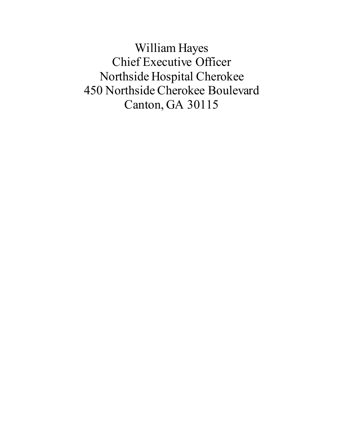William Hayes Chief Executive Officer Northside Hospital Cherokee 450 Northside Cherokee Boulevard Canton, GA 30115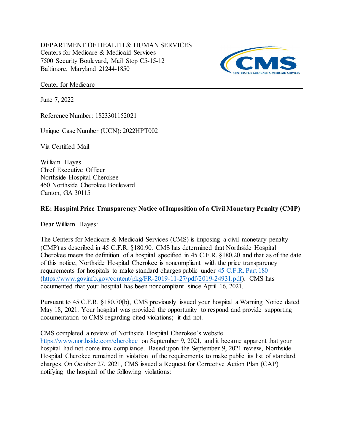DEPARTMENT OF HEALTH & HUMAN SERVICES Centers for Medicare & Medicaid Services 7500 Security Boulevard, Mail Stop C5-15-12 Baltimore, Maryland 21244-1850



Center for Medicare

June 7, 2022

Reference Number: 1823301152021

Unique Case Number (UCN): 2022HPT002

Via Certified Mail

 Chief Executive Officer Northside Hospital Cherokee 450 Northside Cherokee Boulevard Canton, GA 30115 William Hayes

### RE: Hospital Price Transparency Notice of Imposition of a Civil Monetary Penalty (CMP)

Dear William Hayes:

 The Centers for Medicare & Medicaid Services (CMS) is imposing a civil monetary penalty (CMP) as described in 45 C.F.R. §180.90. CMS has determined that Northside Hospital Cherokee meets the definition of a hospital specified in 45 C.F.R. §180.20 and that as of the date of this notice, Northside Hospital Cherokee is noncompliant with the price transparency requirements for hospitals to make standard charges public under 45 C.F.R. Part 180 (<https://www.govinfo.gov/content/pkg/FR-2019-11-27/pdf/2019-24931.pdf>). CMS has documented that your hospital has been noncompliant since April 16, 2021.

 Pursuant to 45 C.F.R. §180.70(b), CMS previously issued your hospital a Warning Notice dated May 18, 2021. Your hospital was provided the opportunity to respond and provide supporting documentation to CMS regarding cited violations; it did not.

CMS completed a review of Northside Hospital Cherokee's website

<https://www.northside.com/cherokee> on September 9, 2021, and it became apparent that your hospital had not come into compliance. Based upon the September 9, 2021 review, Northside Hospital Cherokee remained in violation of the requirements to make public its list of standard charges. On October 27, 2021, CMS issued a Request for Corrective Action Plan (CAP) notifying the hospital of the following violations: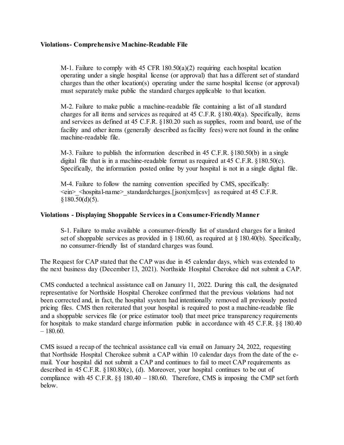#### Violations- Comprehensive Machine-Readable File

 M-1. Failure to comply with 45 CFR 180.50(a)(2) requiring each hospital location operating under a single hospital license (or approval) that has a different set of standard charges than the other location(s) operating under the same hospital license (or approval) must separately make public the standard charges applicable to that location.

 M-2. Failure to make public a machine-readable file containing a list of all standard charges for all items and services as required at 45 C.F.R. §180.40(a). Specifically, items and services as defined at 45 C.F.R. §180.20 such as supplies, room and board, use of the facility and other items (generally described as facility fees) were not found in the online machine-readable file.

 M-3. Failure to publish the information described in 45 C.F.R. §180.50(b) in a single digital file that is in a machine-readable format as required at 45 C.F.R. §180.50(c). Specifically, the information posted online by your hospital is not in a single digital file.

 M-4. Failure to follow the naming convention specified by CMS, specifically: <ein>\_<hospital-name>\_standardcharges.[json|xml|csv] as required at 45 C.F.R.  $§180.50(d)(5).$ 

#### Violations - Displaying Shoppable Services in a Consumer-Friendly Manner

 S-1. Failure to make available a consumer-friendly list of standard charges for a limited set of shoppable services as provided in § 180.60, as required at § 180.40(b). Specifically, no consumer-friendly list of standard charges was found.

 The Request for CAP stated that the CAP was due in 45 calendar days, which was extended to the next business day (December 13, 2021). Northside Hospital Cherokee did not submit a CAP.

 CMS conducted a technical assistance call on January 11, 2022. During this call, the designated representative for Northside Hospital Cherokee confirmed that the previous violations had not been corrected and, in fact, the hospital system had intentionally removed all previously posted pricing files. CMS then reiterated that your hospital is required to post a machine-readable file and a shoppable services file (or price estimator tool) that meet price transparency requirements for hospitals to make standard charge information public in accordance with 45 C.F.R. §§ 180.40 – 180.60.

 CMS issued a recap of the technical assistance call via email on January 24, 2022, requesting that Northside Hospital Cherokee submit a CAP within 10 calendar days from the date of the e- mail. Your hospital did not submit a CAP and continues to fail to meet CAP requirements as described in 45 C.F.R. §180.80(c), (d). Moreover, your hospital continues to be out of compliance with 45 C.F.R. §§ 180.40 – 180.60. Therefore, CMS is imposing the CMP set forth below.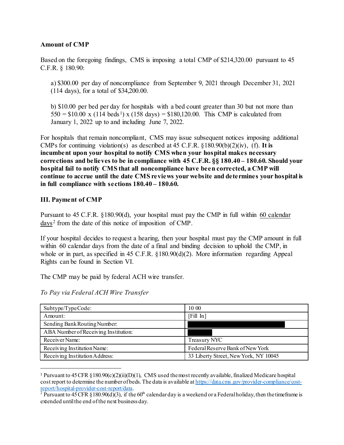#### Amount of CMP

 Based on the foregoing findings, CMS is imposing a total CMP of [\\$214,320.00](https://214,320.00) pursuant to 45 C.F.R. § 180.90:

 a) \$300.00 per day of noncompliance from September 9, 2021 through December 31, 2021 (114 days), for a total of [\\$34,200.00.](https://34,200.00)

 b) \$10.00 per bed per day for hospitals with a bed count greater than 30 but not more than  $550 = $10.00 \times (114 \text{ beds}^1) \times (158 \text{ days}) = $180,120.00$ . This CMP is calculated from January 1, 2022 up to and including June 7, 2022.

 For hospitals that remain noncompliant, CMS may issue subsequent notices imposing additional CMPs for continuing violation(s) as described at 45 C.F.R.  $\S 180.90(b)(2)(iv)$ , (f). It is incumbent upon your hospital to notify CMS when your hospital makes necessary corrections and believes to be in compliance with 45 C.F.R. §§ 180.40 – 180.60. Should your hospital fail to notify CMS that all noncompliance have been corrected, a CMP will continue to accrue until the date CMS reviews your website and determines your hospital is in full compliance with [sections 180.40](https://sections180.40) – 180.60.

## III. Payment of CMP

Pursuant to 45 C.F.R. §180.90(d), your hospital must pay the CMP in full within 60 calendar days<sup>2</sup> from the date of this notice of imposition of CMP.

 If your hospital decides to request a hearing, then your hospital must pay the CMP amount in full within 60 calendar days from the date of a final and binding decision to uphold the CMP, in whole or in part, as specified in 45 C.F.R. §180.90(d)(2). More information regarding Appeal Rights can be found in Section VI.

The CMP may be paid by federal ACH wire transfer.

| Subtype/TypeCode:                    | 1000                                  |
|--------------------------------------|---------------------------------------|
| Amount:                              | [Fill In]                             |
| Sending Bank Routing Number:         |                                       |
| ABA Number of Receiving Institution: |                                       |
| Receiver Name:                       | Treasury NYC                          |
| Receiving Institution Name:          | Federal Reserve Bank of New York      |
| Receiving Institution Address:       | 33 Liberty Street, New York, NY 10045 |

To Pay via Federal ACH Wire Transfer

<sup>&</sup>lt;sup>1</sup> Pursuant to 45 CFR §180.90(c)(2)(ii)(D)(1), CMS used the most recently available, finalized Medicare hospital cost report to determine the number of beds. The data is available at <https://data.cms.gov/provider-compliance/cost>report/hospital-provider-cost-report/data.

 extended untilthe end of the next business day.<sup>2</sup> Pursuant to 45 CFR §180.90(d)(3), if the 60<sup>th</sup> calendar day is a weekend or a Federal holiday, then the timeframe is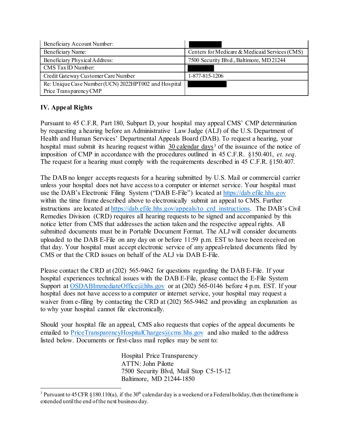| Beneficiary Account Number:                          |                                                |
|------------------------------------------------------|------------------------------------------------|
| Beneficiary Name:                                    | Centers for Medicare & Medicaid Services (CMS) |
| Beneficiary Physical Address:                        | 7500 Security Blvd., Baltimore, MD 21244       |
| CMS Tax ID Number:                                   |                                                |
| Credit Gateway Customer Care Number                  | 1-877-815-1206                                 |
| Re: Unique Case Number (UCN) 2022HPT002 and Hospital |                                                |
| Price Transparency CMP                               |                                                |

# IV. Appeal Rights

 Pursuant to 45 C.F.R. Part 180, Subpart D, your hospital may appeal CMS' CMP determination by requesting a hearing before an Administrative Law Judge (ALJ) of the U.S. Department of Health and Human Services' Departmental Appeals Board (DAB). To request a hearing, your hospital must submit its hearing request within  $30$  calendar days<sup>3</sup> of the issuance of the notice of imposition of CMP in accordance with the procedures outlined in 45 C.F.R. §150.401, et. seq. The request for a hearing must comply with the requirements described in 45 C.F.R. §150.407.

 The DAB no longer accepts requests for a hearing submitted by U.S. Mail or commercial carrier unless your hospital does not have access to a computer or internet service. Your hospital must use the DAB's Electronic Filing System ("DAB E-File") located at <https://dab.efile.hhs.gov> within the time frame described above to electronically submit an appeal to CMS. Further instructions are located at [https://dab.efile.hhs.gov/appeals/to\\_crd\\_instructions.](https://dab.efile.hhs.gov/appeals/to_crd_instructions) The DAB's Civil Remedies Division (CRD) requires all hearing requests to be signed and accompanied by this notice letter from CMS that addresses the action taken and the respective appeal rights. All submitted documents must be in Portable Document Format. The ALJ will consider documents uploaded to the DAB E-File on any day on or before 11:59 p.m. EST to have been received on that day. Your hospital must accept electronic service of any appeal-related documents filed by CMS or that the CRD issues on behalf of the ALJ via DAB E-File.

 Please contact the CRD at (202) 565-9462 for questions regarding the DAB E-File. If your hospital experiences technical issues with the DAB E-File, please contact the E-File System Support at **OSDABI**mmediateOffice@hhs.gov or at (202) 565-0146 before 4 p.m. EST. If your hospital does not have access to a computer or internet service, your hospital may request a waiver from e-filing by contacting the CRD at (202) 565-9462 and providing an explanation as to why your hospital cannot file electronically.

 Should your hospital file an appeal, CMS also requests that copies of the appeal documents be emailed to [PriceTransparencyHospitalCharges@cms.hhs.gov](mailto:PriceTransparencyHospitalCharges@cms.hhs.gov) and also mailed to the address listed below. Documents or first-class mail replies may be sent to:

> Hospital Price Transparency ATTN: John Pilotte 7500 Security Blvd, Mail Stop C5-15-12 Baltimore, MD 21244-1850

<sup>&</sup>lt;sup>3</sup> Pursuant to 45 CFR §180.110(a), if the 30<sup>th</sup> calendar day is a weekend or a Federal holiday, then the timeframe is extended until the end of the next business day.